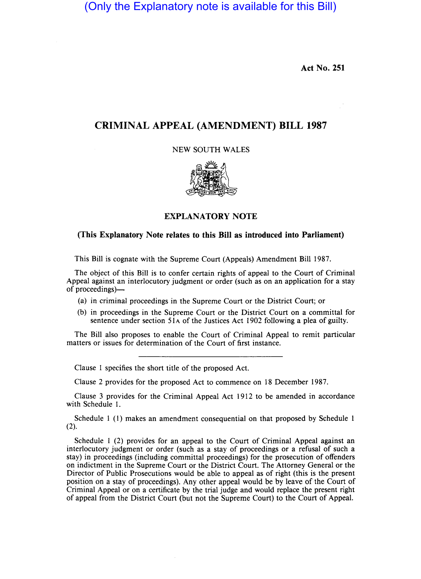(Only the Explanatory note is available for this Bill)

Act No. 251

## CRIMINAL APPEAL (AMENDMENT) BILL 1987

NEW SOUTH WALES



EXPLANATORY NOTE

## (This Explanatory Note relates to this Bill as introduced into Parliament)

This Bill is cognate with the Supreme Court (Appeals) Amendment Bill 1987.

The object of this Bill is to confer certain rights of appeal to the Court of Criminal Appeal against an interlocutory judgment or order (such as on an application for a stay of proceedings)-

- (a) in criminal proceedings in the Supreme Court or the District Court; or
- (b) in proceedings in the Supreme Court or the District Court on a committal for sentence under section 51A of the Justices Act 1902 following a plea of guilty.

The Bill also proposes to enable the Court of Criminal Appeal to remit particular matters or issues for determination of the Court of first instance.

Clause 1 specifies the short title of the proposed Act.

Clause 2 provides for the proposed Act to commence on 18 December 1987.

Clause 3 provides for the Criminal Appeal Act 1912 to be amended in accordance with Schedule I.

Schedule 1 (1) makes an amendment consequential on that proposed by Schedule 1 (2).

Schedule 1 (2) provides for an appeal to the Court of Criminal Appeal against an interlocutory judgment or order (such as a stay of proceedings or a refusal of such a stay) in proceedings (including committal proceedings) for the prosecution of offenders on indictment in the Supreme Court or the District Court. The Attorney General or the Director of Public Prosecutions would be able to appeal as of right (this is the present position on a stay of proceedings). Any other appeal would be by leave of the Court of Criminal Appeal or on a certificate by the trial judge and would replace the present right of appeal from the District Court (but not the Supreme Court) to the Court of Appeal.